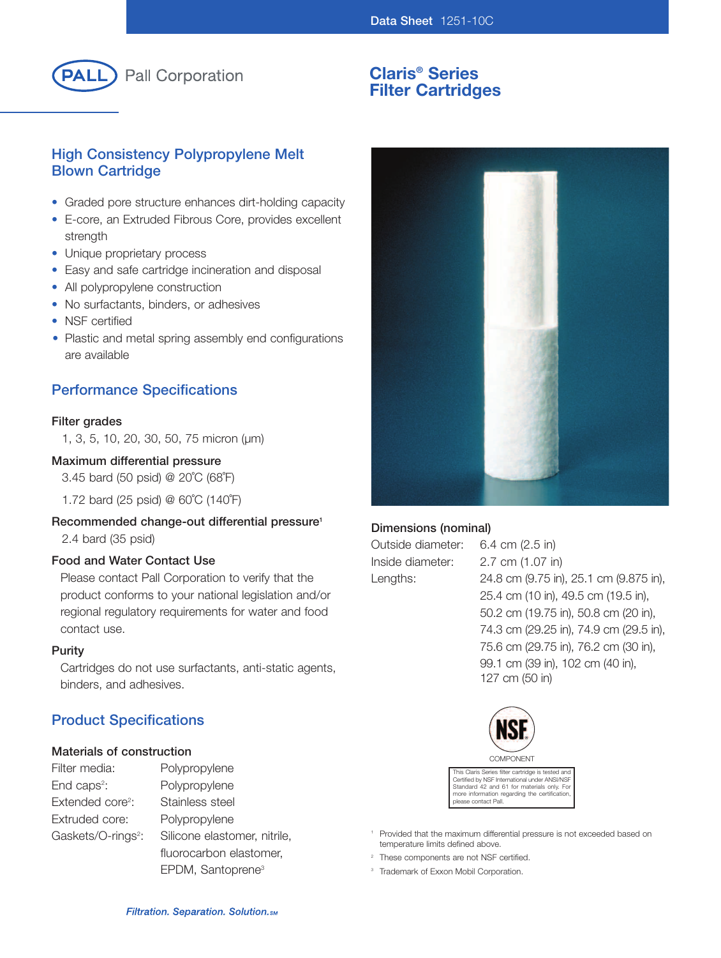

# **Claris® Series Filter Cartridges**

# **High Consistency Polypropylene Melt Blown Cartridge**

- Graded pore structure enhances dirt-holding capacity
- E-core, an Extruded Fibrous Core, provides excellent strength
- Unique proprietary process
- Easy and safe cartridge incineration and disposal
- All polypropylene construction
- No surfactants, binders, or adhesives
- NSF certified
- Plastic and metal spring assembly end configurations are available

# **Performance Specifications**

#### **Filter grades**

1, 3, 5, 10, 20, 30, 50, 75 micron (µm)

#### **Maximum differential pressure**

3.45 bard (50 psid) @ 20˚C (68˚F)

1.72 bard (25 psid) @ 60˚C (140˚F)

# **Recommended change-out differential pressure1**

2.4 bard (35 psid)

#### **Food and Water Contact Use**

Please contact Pall Corporation to verify that the product conforms to your national legislation and/or regional regulatory requirements for water and food contact use.

#### **Purity**

Cartridges do not use surfactants, anti-static agents, binders, and adhesives.

# **Product Specifications**

#### **Materials of construction**

| Filter media:                  | Polypropylene                 |
|--------------------------------|-------------------------------|
| End caps <sup>2</sup> :        | Polypropylene                 |
| Extended core <sup>2</sup> :   | Stainless steel               |
| Extruded core:                 | Polypropylene                 |
| Gaskets/O-rings <sup>2</sup> : | Silicone elastomer, nitrile,  |
|                                | fluorocarbon elastomer,       |
|                                | EPDM, Santoprene <sup>3</sup> |



# **Dimensions (nominal)**

Outside diameter: 6.4 cm (2.5 in) Inside diameter: 2.7 cm (1.07 in)

Lengths: 24.8 cm (9.75 in), 25.1 cm (9.875 in), 25.4 cm (10 in), 49.5 cm (19.5 in), 50.2 cm (19.75 in), 50.8 cm (20 in), 74.3 cm (29.25 in), 74.9 cm (29.5 in), 75.6 cm (29.75 in), 76.2 cm (30 in), 99.1 cm (39 in), 102 cm (40 in), 127 cm (50 in)



This Claris Series filter cartridge is tested and Certified by NSF International under ANSI/NSF Standard 42 and 61 for materials only. For more information regarding the certification, please contact Pall.

- <sup>1</sup> Provided that the maximum differential pressure is not exceeded based on temperature limits defined above.
- <sup>2</sup> These components are not NSF certified.
- <sup>3</sup> Trademark of Exxon Mobil Corporation.